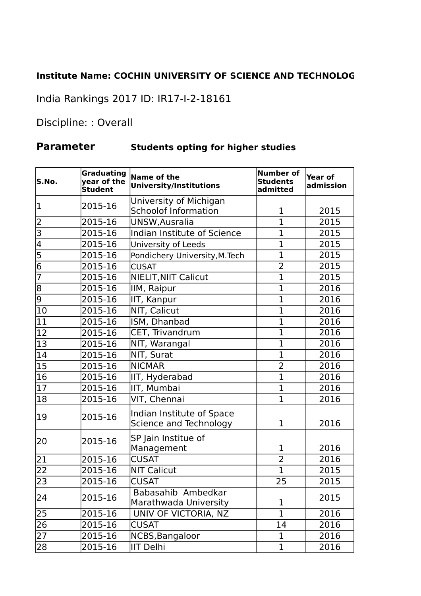## **Institute Name: COCHIN UNIVERSITY OF SCIENCE AND TECHNOLOGY**

India Rankings 2017 ID: IR17-I-2-18161

Discipline: : Overall

## **Parameter Students opting for higher studies**

| S.No.                   | <b>Graduating</b><br>year of the<br><b>Student</b> | Name of the<br><b>University/Institutions</b>       | <b>Number of</b><br><b>Students</b><br>admitted | <b>Year of</b><br>admission |
|-------------------------|----------------------------------------------------|-----------------------------------------------------|-------------------------------------------------|-----------------------------|
| 1                       | 2015-16                                            | University of Michigan                              |                                                 |                             |
|                         |                                                    | <b>Schoolof Information</b>                         | 1                                               | 2015                        |
| 2                       | 2015-16                                            | UNSW, Ausralia                                      | 1                                               | 2015                        |
| $\overline{\mathsf{B}}$ | 2015-16                                            | Indian Institute of Science                         | 1                                               | 2015                        |
| $\overline{4}$          | 2015-16                                            | University of Leeds                                 | 1                                               | 2015                        |
| $\overline{5}$          | 2015-16                                            | Pondichery University, M. Tech                      | $\overline{1}$                                  | 2015                        |
| $\overline{6}$          | 2015-16                                            | <b>CUSAT</b>                                        | $\overline{2}$                                  | 2015                        |
| $\overline{7}$          | 2015-16                                            | NIELIT, NIIT Calicut                                | $\overline{1}$                                  | 2015                        |
| $\overline{8}$          | 2015-16                                            | IIM, Raipur                                         | $\overline{1}$                                  | 2016                        |
| $\overline{9}$          | 2015-16                                            | IIT, Kanpur                                         | $\overline{1}$                                  | 2016                        |
| $\overline{10}$         | 2015-16                                            | NIT, Calicut                                        | $\overline{1}$                                  | 2016                        |
| 11                      | 2015-16                                            | ISM, Dhanbad                                        | $\overline{1}$                                  | 2016                        |
| 12                      | 2015-16                                            | CET, Trivandrum                                     | $\overline{1}$                                  | 2016                        |
| $\overline{13}$         | 2015-16                                            | NIT, Warangal                                       | $\overline{1}$                                  | 2016                        |
| 14                      | 2015-16                                            | NIT, Surat                                          | $\overline{1}$                                  | 2016                        |
| $ 15\rangle$            | 2015-16                                            | <b>NICMAR</b>                                       | $\overline{2}$                                  | 2016                        |
| $\overline{16}$         | 2015-16                                            | IIT, Hyderabad                                      | $\overline{1}$                                  | 2016                        |
| 17                      | 2015-16                                            | IIT, Mumbai                                         | $\overline{1}$                                  | 2016                        |
| 18                      | 2015-16                                            | VIT, Chennai                                        | $\overline{1}$                                  | 2016                        |
| 19                      | 2015-16                                            | Indian Institute of Space<br>Science and Technology | $\mathbf{1}$                                    | 2016                        |
| 20                      | 2015-16                                            | SP Jain Institue of<br>Management                   | $\mathbf{1}$                                    | 2016                        |
| 21                      | 2015-16                                            | <b>CUSAT</b>                                        | $\overline{2}$                                  | 2016                        |
| $\overline{22}$         | 2015-16                                            | <b>NIT Calicut</b>                                  | $\overline{1}$                                  | 2015                        |
| $\overline{23}$         | 2015-16                                            | <b>CUSAT</b>                                        | 25                                              | 2015                        |
| 24                      | 2015-16                                            | Babasahib Ambedkar<br>Marathwada University         | 1                                               | 2015                        |
| 25                      | 2015-16                                            | UNIV OF VICTORIA, NZ                                | 1                                               | 2016                        |
| $ 26\rangle$            | 2015-16                                            | <b>CUSAT</b>                                        | 14                                              | 2016                        |
| 27                      | 2015-16                                            | NCBS, Bangaloor                                     | 1                                               | 2016                        |
| 28                      | 2015-16                                            | IIT Delhi                                           | $\mathbf 1$                                     | 2016                        |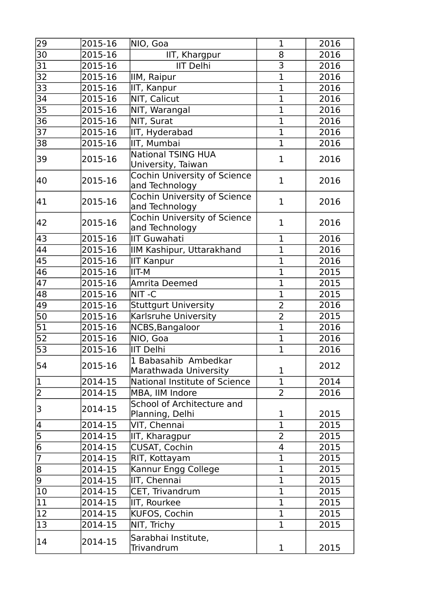| 29                          | 2015-16 | NIO, Goa                                        | 1              | 2016 |
|-----------------------------|---------|-------------------------------------------------|----------------|------|
| $\overline{30}$             | 2015-16 | IIT, Khargpur                                   | 8              | 2016 |
| $\overline{31}$             | 2015-16 | <b>IIT Delhi</b>                                | $\overline{3}$ | 2016 |
| $\overline{32}$             | 2015-16 | IIM, Raipur                                     | $\overline{1}$ | 2016 |
| 33                          | 2015-16 | IIT, Kanpur                                     | $\overline{1}$ | 2016 |
| 34                          | 2015-16 | NIT, Calicut                                    | $\overline{1}$ | 2016 |
| 35                          | 2015-16 | NIT, Warangal                                   | $\mathbf 1$    | 2016 |
| 36                          | 2015-16 | NIT, Surat                                      | $\overline{1}$ | 2016 |
| 37                          | 2015-16 | IIT, Hyderabad                                  | $\overline{1}$ | 2016 |
| 38                          | 2015-16 | IIT, Mumbai                                     | $\mathbf 1$    | 2016 |
| 39                          | 2015-16 | <b>National TSING HUA</b><br>University, Taiwan | $\mathbf{1}$   | 2016 |
| 40                          | 2015-16 | Cochin University of Science<br>and Technology  | $\mathbf{1}$   | 2016 |
| 41                          | 2015-16 | Cochin University of Science<br>and Technology  | $\mathbf 1$    | 2016 |
| 42                          | 2015-16 | Cochin University of Science<br>and Technology  | $\mathbf 1$    | 2016 |
| 43                          | 2015-16 | IIT Guwahati                                    | 1              | 2016 |
| 44                          | 2015-16 | IIM Kashipur, Uttarakhand                       | $\mathbf{1}$   | 2016 |
| $\overline{45}$             | 2015-16 | IIT Kanpur                                      | $\overline{1}$ | 2016 |
| $\overline{46}$             | 2015-16 | IIT-M                                           | $\overline{1}$ | 2015 |
| $\overline{47}$             | 2015-16 | Amrita Deemed                                   | $\overline{1}$ | 2015 |
| 48                          | 2015-16 | NIT-C                                           | $\overline{1}$ | 2015 |
| 49                          | 2015-16 | <b>Stuttgurt University</b>                     | $\overline{2}$ | 2016 |
| 50                          | 2015-16 | Karlsruhe University                            | $\overline{2}$ | 2015 |
| $\overline{51}$             | 2015-16 | NCBS, Bangaloor                                 | $\overline{1}$ | 2016 |
| 52                          | 2015-16 | NIO, Goa                                        | $\mathbf 1$    | 2016 |
| $\overline{53}$             | 2015-16 | IIT Delhi                                       | $\overline{1}$ | 2016 |
| 54                          | 2015-16 | 1 Babasahib Ambedkar<br>Marathwada University   | 1              | 2012 |
| $\overline{1}$              | 2014-15 | National Institute of Science                   | $\mathbf 1$    | 2014 |
| $\overline{2}$              | 2014-15 | MBA, IIM Indore                                 | 2              | 2016 |
| 3                           | 2014-15 | School of Architecture and<br>Planning, Delhi   | $\mathbf 1$    | 2015 |
| $\frac{4}{5}$ $\frac{5}{6}$ | 2014-15 | VIT, Chennai                                    | $\mathbf{1}$   | 2015 |
|                             | 2014-15 | IIT, Kharagpur                                  | $\overline{2}$ | 2015 |
|                             | 2014-15 | CUSAT, Cochin                                   | 4              | 2015 |
| $\overline{7}$              | 2014-15 | RIT, Kottayam                                   | $\overline{1}$ | 2015 |
| $\overline{8}$              | 2014-15 | Kannur Engg College                             | 1              | 2015 |
| $\overline{9}$              | 2014-15 | IIT, Chennai                                    | $\overline{1}$ | 2015 |
| 10                          | 2014-15 | CET, Trivandrum                                 | 1              | 2015 |
| 11                          | 2014-15 | IIT, Rourkee                                    | $\overline{1}$ | 2015 |
| $\overline{12}$             | 2014-15 | KUFOS, Cochin                                   | $\mathbf 1$    | 2015 |
| 13                          | 2014-15 | NIT, Trichy                                     | $\mathbf{1}$   | 2015 |
| 14                          | 2014-15 | Sarabhai Institute,<br>Trivandrum               | $\mathbf 1$    | 2015 |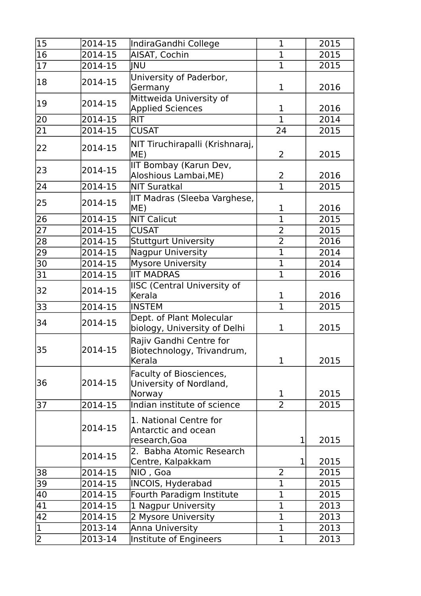| 15              | 2014-15 | IndiraGandhi College                                            | 1              | 2015 |
|-----------------|---------|-----------------------------------------------------------------|----------------|------|
| $\overline{16}$ | 2014-15 | AISAT, Cochin                                                   | $\overline{1}$ | 2015 |
| $ 17\rangle$    | 2014-15 | INU                                                             | $\mathbf{1}$   | 2015 |
| 18              | 2014-15 | University of Paderbor,<br>Germany                              | $\mathbf{1}$   | 2016 |
| 19              | 2014-15 | Mittweida University of<br><b>Applied Sciences</b>              | 1              | 2016 |
| $ 20\rangle$    | 2014-15 | <b>RIT</b>                                                      | $\mathbf{1}$   | 2014 |
| 21              | 2014-15 | <b>CUSAT</b>                                                    | 24             | 2015 |
| 22              | 2014-15 | NIT Tiruchirapalli (Krishnaraj,<br>ME)                          | $\overline{2}$ | 2015 |
| 23              | 2014-15 | IIT Bombay (Karun Dev,<br>Aloshious Lambai, ME)                 | $\overline{c}$ | 2016 |
| 24              | 2014-15 | NIT Suratkal                                                    | $\overline{1}$ | 2015 |
| 25              | 2014-15 | IIT Madras (Sleeba Varghese,<br>ME)                             | 1              | 2016 |
| 26              | 2014-15 | <b>NIT Calicut</b>                                              | $\mathbf{1}$   | 2015 |
| 27              | 2014-15 | <b>CUSAT</b>                                                    | 2              | 2015 |
| 28              | 2014-15 | <b>Stuttgurt University</b>                                     | $\overline{2}$ | 2016 |
| 29              | 2014-15 | Nagpur University                                               | $\overline{1}$ | 2014 |
| 30              | 2014-15 | Mysore University                                               | 1              | 2014 |
| 31              | 2014-15 | <b>IIT MADRAS</b>                                               | $\overline{1}$ | 2016 |
| 32              | 2014-15 | ISC (Central University of<br>Kerala                            | $\mathbf{1}$   | 2016 |
| 33              | 2014-15 | <b>INSTEM</b>                                                   | $\mathbf 1$    | 2015 |
| 34              | 2014-15 | Dept. of Plant Molecular<br>biology, University of Delhi        | 1              | 2015 |
| 35              | 2014-15 | Rajiv Gandhi Centre for<br>Biotechnology, Trivandrum,<br>Kerala | $\mathbf 1$    | 2015 |
| 36              | 2014-15 | Faculty of Biosciences,<br>University of Nordland,<br>Norway    | 1              | 2015 |
| 37              | 2014-15 | Indian institute of science                                     | $\overline{2}$ | 2015 |
|                 | 2014-15 | 1. National Centre for<br>Antarctic and ocean<br>research, Goa  | $\mathbf 1$    | 2015 |
|                 | 2014-15 | 2. Babha Atomic Research<br>Centre, Kalpakkam                   | $\mathbf 1$    | 2015 |
| 38              | 2014-15 | NIO , Goa                                                       | $\overline{2}$ | 2015 |
| $\overline{39}$ | 2014-15 | INCOIS, Hyderabad                                               | 1              | 2015 |
| 40              | 2014-15 | Fourth Paradigm Institute                                       | 1              | 2015 |
| $\overline{41}$ | 2014-15 | 1 Nagpur University                                             | $\mathbf{1}$   | 2013 |
| 42              | 2014-15 | 2 Mysore University                                             | $\overline{1}$ | 2013 |
| $\overline{1}$  | 2013-14 | Anna University                                                 | 1              | 2013 |
| $\overline{2}$  | 2013-14 | Institute of Engineers                                          | $\overline{1}$ | 2013 |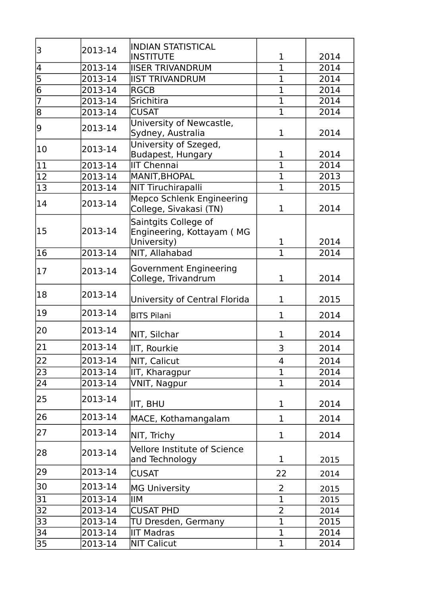| 3                           | 2013-14 | <b>INDIAN STATISTICAL</b>                                        |                |      |
|-----------------------------|---------|------------------------------------------------------------------|----------------|------|
|                             |         | INSTITUTE                                                        | $\mathbf{1}$   | 2014 |
| $\overline{\mathcal{A}}$    | 2013-14 | <b>IIISER TRIVANDRUM</b>                                         | $\mathbf{1}$   | 2014 |
| $\frac{5}{6}$ $\frac{6}{7}$ | 2013-14 | <b>IIST TRIVANDRUM</b>                                           | $\mathbf{1}$   | 2014 |
|                             | 2013-14 | RGCB                                                             | $\mathbf{1}$   | 2014 |
|                             | 2013-14 | Srichitira                                                       | $\mathbf{1}$   | 2014 |
| $\overline{8}$              | 2013-14 | <b>CUSAT</b>                                                     | $\mathbf 1$    | 2014 |
| 9                           | 2013-14 | University of Newcastle,<br>Sydney, Australia                    | $\mathbf{1}$   | 2014 |
| 10                          | 2013-14 | University of Szeged,<br>Budapest, Hungary                       | $\mathbf{1}$   | 2014 |
| 11                          | 2013-14 | <b>IIT Chennai</b>                                               | $\mathbf 1$    | 2014 |
| $ 12\rangle$                | 2013-14 | MANIT, BHOPAL                                                    | $\overline{1}$ | 2013 |
| 13                          | 2013-14 | <b>NIT Tiruchirapalli</b>                                        | $\mathbf 1$    | 2015 |
| 14                          | 2013-14 | <b>Mepco Schlenk Engineering</b><br>College, Sivakasi (TN)       | $\mathbf{1}$   | 2014 |
| 15                          | 2013-14 | Saintgits College of<br>Engineering, Kottayam (MG<br>University) | $\mathbf{1}$   | 2014 |
| 16                          | 2013-14 | NIT, Allahabad                                                   | $\overline{1}$ | 2014 |
| 17                          | 2013-14 | Government Engineering<br>College, Trivandrum                    | $\mathbf{1}$   | 2014 |
| 18                          | 2013-14 | University of Central Florida                                    | $\mathbf{1}$   | 2015 |
| 19                          | 2013-14 | <b>BITS Pilani</b>                                               | $\mathbf{1}$   | 2014 |
| 20                          | 2013-14 | NIT, Silchar                                                     | $\mathbf{1}$   | 2014 |
| 21                          | 2013-14 | IIT, Rourkie                                                     | 3              | 2014 |
| 22                          | 2013-14 | NIT, Calicut                                                     | 4              | 2014 |
| $\overline{23}$             | 2013-14 | IIT, Kharagpur                                                   | $\mathbf{1}$   | 2014 |
| $\overline{24}$             | 2013-14 | VNIT, Nagpur                                                     | $\overline{1}$ | 2014 |
| 25                          | 2013-14 | IIT, BHU                                                         | $\mathbf{1}$   | 2014 |
| 26                          | 2013-14 | MACE, Kothamangalam                                              | $\mathbf{1}$   | 2014 |
| 27                          | 2013-14 | NIT, Trichy                                                      | $\mathbf{1}$   | 2014 |
| 28                          | 2013-14 | Vellore Institute of Science<br>and Technology                   | $\mathbf{1}$   | 2015 |
| 29                          | 2013-14 | <b>CUSAT</b>                                                     | 22             | 2014 |
| 30                          | 2013-14 | MG University                                                    | 2              | 2015 |
| 31                          | 2013-14 | ΙIΜ                                                              | $\mathbf{1}$   | 2015 |
| $\overline{32}$             | 2013-14 | <b>CUSAT PHD</b>                                                 | $\overline{2}$ | 2014 |
| 33                          | 2013-14 | TU Dresden, Germany                                              | $\overline{1}$ | 2015 |
| $\overline{34}$             | 2013-14 | IIT Madras                                                       | $\mathbf{1}$   | 2014 |
| 35                          | 2013-14 | <b>NIT Calicut</b>                                               | $\mathbf{1}$   | 2014 |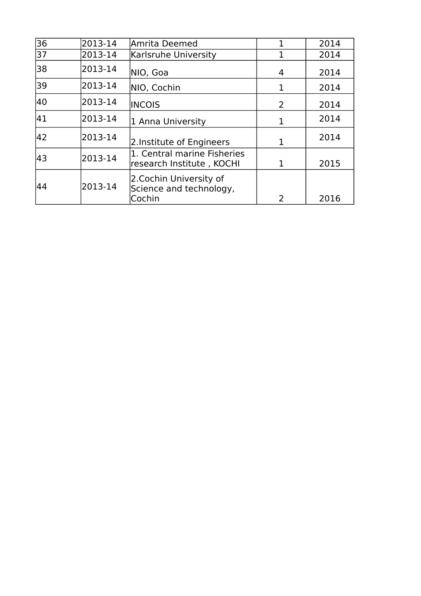| $\overline{36}$ | 2013-14 | Amrita Deemed                                               | 1              | 2014 |
|-----------------|---------|-------------------------------------------------------------|----------------|------|
| 37              | 2013-14 | Karlsruhe University                                        |                | 2014 |
| 38              | 2013-14 | NIO, Goa                                                    | 4              | 2014 |
| 39              | 2013-14 | NIO, Cochin                                                 | 1              | 2014 |
| 40              | 2013-14 | <b>INCOIS</b>                                               | $\overline{2}$ | 2014 |
| 41              | 2013-14 | 1 Anna University                                           | 1              | 2014 |
| 42              | 2013-14 | 2. Institute of Engineers                                   | 1              | 2014 |
| 43              | 2013-14 | 1. Central marine Fisheries<br>research Institute, KOCHI    | 1              | 2015 |
| 44              | 2013-14 | 2.Cochin University of<br>Science and technology,<br>Cochin | 2              | 2016 |